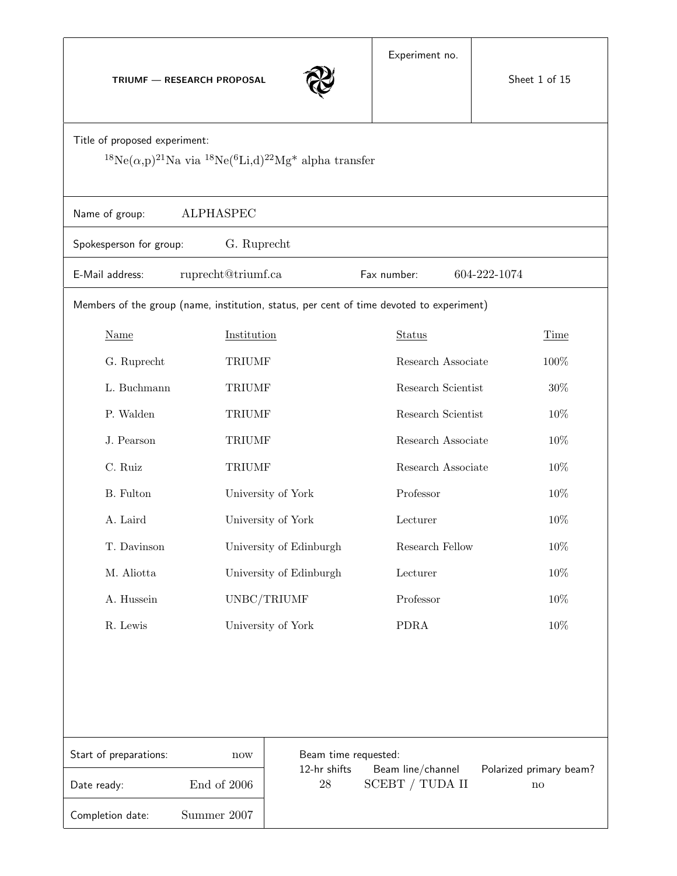TRIUMF — RESEARCH PROPOSAL



|                                                                                                                                                                        |                                                   | X                                                                                                                                  |                    |                         |        |  |
|------------------------------------------------------------------------------------------------------------------------------------------------------------------------|---------------------------------------------------|------------------------------------------------------------------------------------------------------------------------------------|--------------------|-------------------------|--------|--|
| Title of proposed experiment:<br><sup>18</sup> Ne( $\alpha$ ,p) <sup>21</sup> Na via <sup>18</sup> Ne( <sup>6</sup> Li,d) <sup>22</sup> Mg <sup>*</sup> alpha transfer |                                                   |                                                                                                                                    |                    |                         |        |  |
| <b>ALPHASPEC</b><br>Name of group:                                                                                                                                     |                                                   |                                                                                                                                    |                    |                         |        |  |
| Spokesperson for group:                                                                                                                                                | G. Ruprecht                                       |                                                                                                                                    |                    |                         |        |  |
| E-Mail address:                                                                                                                                                        | ruprecht@triumf.ca<br>Fax number:<br>604-222-1074 |                                                                                                                                    |                    |                         |        |  |
| Members of the group (name, institution, status, per cent of time devoted to experiment)                                                                               |                                                   |                                                                                                                                    |                    |                         |        |  |
| Name                                                                                                                                                                   | Institution                                       |                                                                                                                                    | Status             |                         | Time   |  |
| G. Ruprecht                                                                                                                                                            | <b>TRIUMF</b>                                     |                                                                                                                                    | Research Associate |                         | 100%   |  |
| L. Buchmann                                                                                                                                                            | <b>TRIUMF</b>                                     |                                                                                                                                    | Research Scientist |                         | $30\%$ |  |
| P. Walden                                                                                                                                                              | <b>TRIUMF</b>                                     |                                                                                                                                    |                    | Research Scientist      |        |  |
| J. Pearson                                                                                                                                                             | <b>TRIUMF</b>                                     |                                                                                                                                    |                    | Research Associate      |        |  |
| C. Ruiz                                                                                                                                                                | <b>TRIUMF</b>                                     |                                                                                                                                    |                    | Research Associate      |        |  |
| B. Fulton                                                                                                                                                              | University of York                                |                                                                                                                                    | Professor          |                         |        |  |
| A. Laird                                                                                                                                                               | University of York                                |                                                                                                                                    | Lecturer           |                         |        |  |
| T. Davinson                                                                                                                                                            | University of Edinburgh                           |                                                                                                                                    | Research Fellow    |                         | 10%    |  |
| M. Aliotta                                                                                                                                                             | University of Edinburgh                           |                                                                                                                                    | Lecturer           |                         | 10%    |  |
| A. Hussein                                                                                                                                                             | UNBC/TRIUMF                                       |                                                                                                                                    | Professor          |                         | 10%    |  |
| R. Lewis                                                                                                                                                               | University of York                                |                                                                                                                                    | <b>PDRA</b>        |                         | 10%    |  |
|                                                                                                                                                                        |                                                   |                                                                                                                                    |                    |                         |        |  |
|                                                                                                                                                                        |                                                   |                                                                                                                                    |                    |                         |        |  |
|                                                                                                                                                                        |                                                   |                                                                                                                                    |                    |                         |        |  |
|                                                                                                                                                                        |                                                   |                                                                                                                                    |                    |                         |        |  |
| Start of preparations:                                                                                                                                                 |                                                   | Beam time requested:<br>now<br>12-hr shifts<br>Beam line/channel<br>28<br>SCEBT / TUDA II<br>End of 2006<br>$\mathop{\mathrm{no}}$ |                    | Polarized primary beam? |        |  |
| Date ready:                                                                                                                                                            |                                                   |                                                                                                                                    |                    |                         |        |  |
| Summer 2007<br>Completion date:                                                                                                                                        |                                                   |                                                                                                                                    |                    |                         |        |  |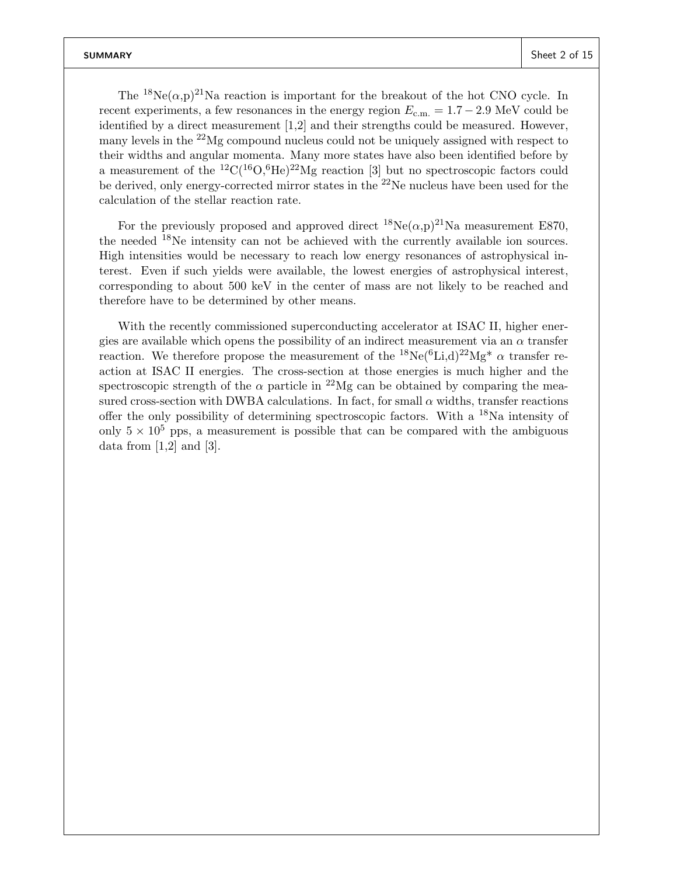The <sup>18</sup>Ne( $\alpha$ ,p)<sup>21</sup>Na reaction is important for the breakout of the hot CNO cycle. In recent experiments, a few resonances in the energy region  $E_{c.m.} = 1.7 - 2.9$  MeV could be identified by a direct measurement [1,2] and their strengths could be measured. However, many levels in the  $^{22}Mg$  compound nucleus could not be uniquely assigned with respect to their widths and angular momenta. Many more states have also been identified before by a measurement of the  ${}^{12}C({}^{16}O,{}^{6}He){}^{22}Mg$  reaction [3] but no spectroscopic factors could be derived, only energy-corrected mirror states in the  $^{22}$ Ne nucleus have been used for the calculation of the stellar reaction rate.

For the previously proposed and approved direct  ${}^{18}Ne(\alpha,p){}^{21}Na$  measurement E870, the needed  $^{18}$ Ne intensity can not be achieved with the currently available ion sources. High intensities would be necessary to reach low energy resonances of astrophysical interest. Even if such yields were available, the lowest energies of astrophysical interest, corresponding to about 500 keV in the center of mass are not likely to be reached and therefore have to be determined by other means.

With the recently commissioned superconducting accelerator at ISAC II, higher energies are available which opens the possibility of an indirect measurement via an  $\alpha$  transfer reaction. We therefore propose the measurement of the  ${}^{18}Ne({}^{6}Li, d){}^{22}Mg^{*}$   $\alpha$  transfer reaction at ISAC II energies. The cross-section at those energies is much higher and the spectroscopic strength of the  $\alpha$  particle in <sup>22</sup>Mg can be obtained by comparing the measured cross-section with DWBA calculations. In fact, for small  $\alpha$  widths, transfer reactions offer the only possibility of determining spectroscopic factors. With a  $^{18}$ Na intensity of only  $5 \times 10^5$  pps, a measurement is possible that can be compared with the ambiguous data from  $[1,2]$  and  $[3]$ .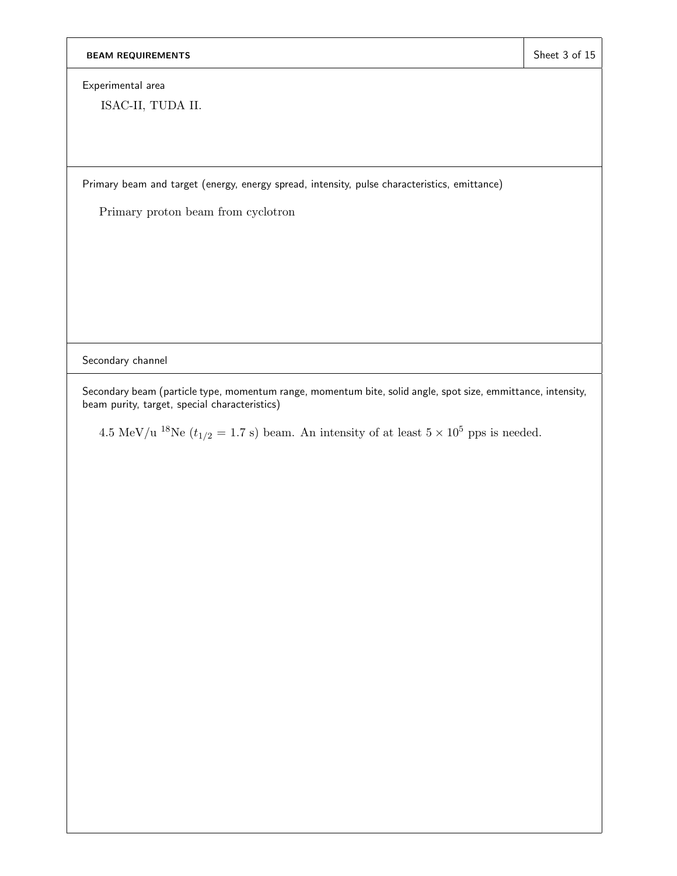Experimental area

ISAC-II, TUDA II.

Primary beam and target (energy, energy spread, intensity, pulse characteristics, emittance)

Primary proton beam from cyclotron

Secondary channel

Secondary beam (particle type, momentum range, momentum bite, solid angle, spot size, emmittance, intensity, beam purity, target, special characteristics)

4.5 MeV/u <sup>18</sup>Ne ( $t_{1/2} = 1.7$  s) beam. An intensity of at least  $5 \times 10^5$  pps is needed.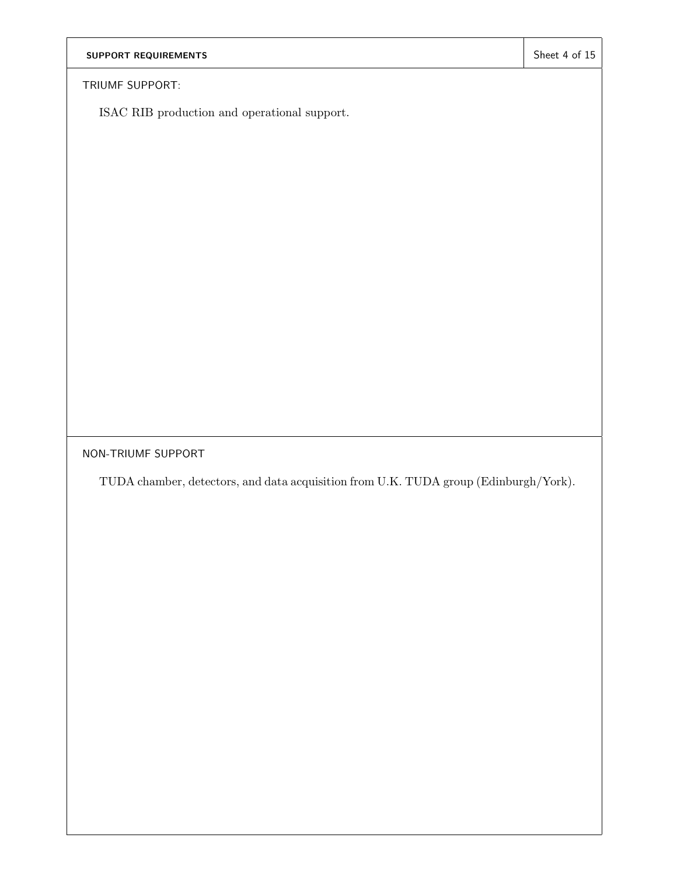TRIUMF SUPPORT:

ISAC RIB production and operational support.

NON-TRIUMF SUPPORT

TUDA chamber, detectors, and data acquisition from U.K. TUDA group (Edinburgh/York).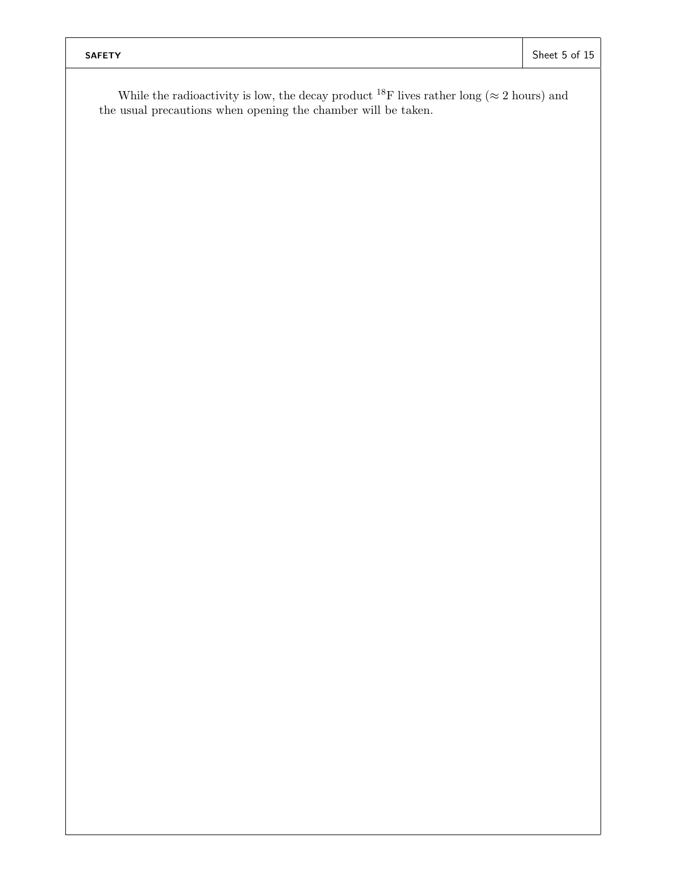While the radioactivity is low, the decay product  $^{18}$ F lives rather long ( $\approx 2$  hours) and the usual precautions when opening the chamber will be taken.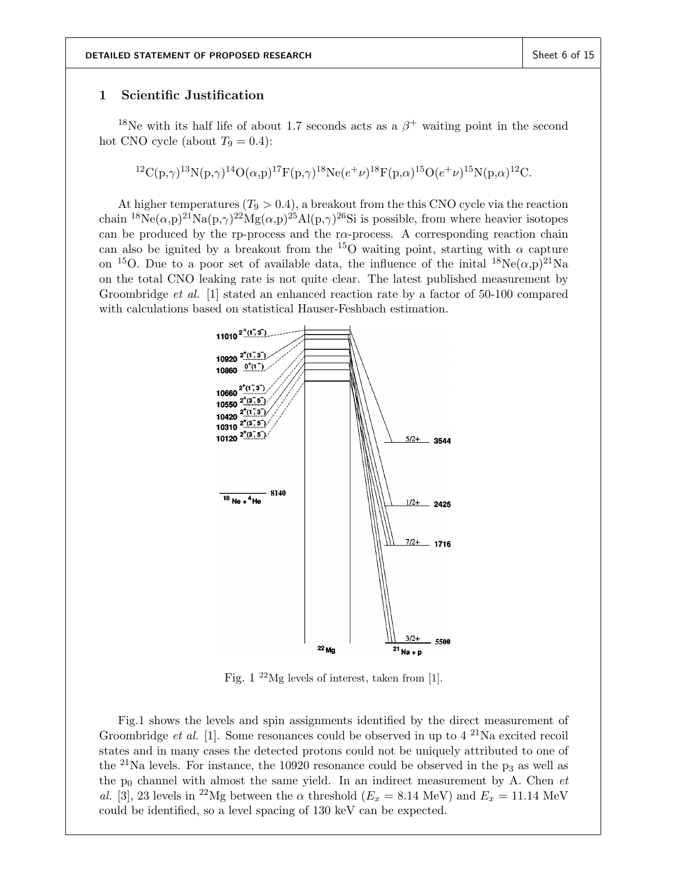## 1 Scientific Justification

<sup>18</sup>Ne with its half life of about 1.7 seconds acts as a  $\beta^+$  waiting point in the second hot CNO cycle (about  $T_9 = 0.4$ ):

$$
{}^{12}\mathrm{C(p,\gamma)}{}^{13}\mathrm{N(p,\gamma)}{}^{14}\mathrm{O}(\alpha,\mathrm{p}){}^{17}\mathrm{F}(\mathrm{p,\gamma}){}^{18}\mathrm{Ne}(e^+\nu){}^{18}\mathrm{F}(\mathrm{p,\alpha}){}^{15}\mathrm{O}(e^+\nu){}^{15}\mathrm{N}(\mathrm{p,\alpha}){}^{12}\mathrm{C}.
$$

At higher temperatures  $(T_9 > 0.4)$ , a breakout from the this CNO cycle via the reaction chain <sup>18</sup>Ne( $\alpha$ ,p)<sup>21</sup>Na(p, $\gamma$ )<sup>22</sup>Mg( $\alpha$ ,p)<sup>25</sup>Al(p, $\gamma$ )<sup>26</sup>Si is possible, from where heavier isotopes can be produced by the rp-process and the rα-process. A corresponding reaction chain can also be ignited by a breakout from the <sup>15</sup>O waiting point, starting with  $\alpha$  capture on <sup>15</sup>O. Due to a poor set of available data, the influence of the initial  ${}^{18}Ne(\alpha,p){}^{21}Na$ on the total CNO leaking rate is not quite clear. The latest published measurement by Groombridge *et al.* [1] stated an enhanced reaction rate by a factor of 50-100 compared with calculations based on statistical Hauser-Feshbach estimation.



Fig. 1 <sup>22</sup>Mg levels of interest, taken from [1].

Fig.1 shows the levels and spin assignments identified by the direct measurement of Groombridge *et al.* [1]. Some resonances could be observed in up to  $4^{21}$ Na excited recoil states and in many cases the detected protons could not be uniquely attributed to one of the <sup>21</sup>Na levels. For instance, the 10920 resonance could be observed in the  $p_3$  as well as the  $p_0$  channel with almost the same yield. In an indirect measurement by A. Chen  $et$ al. [3], 23 levels in <sup>22</sup>Mg between the  $\alpha$  threshold ( $E_x = 8.14$  MeV) and  $E_x = 11.14$  MeV could be identified, so a level spacing of 130 keV can be expected.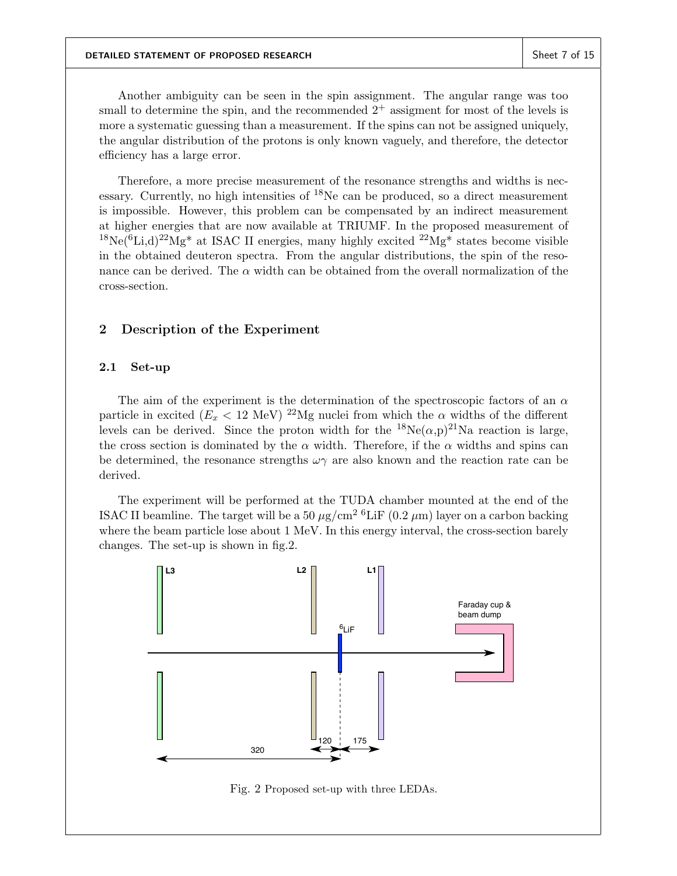Another ambiguity can be seen in the spin assignment. The angular range was too small to determine the spin, and the recommended  $2^+$  assigment for most of the levels is more a systematic guessing than a measurement. If the spins can not be assigned uniquely, the angular distribution of the protons is only known vaguely, and therefore, the detector efficiency has a large error.

Therefore, a more precise measurement of the resonance strengths and widths is necessary. Currently, no high intensities of  $^{18}$ Ne can be produced, so a direct measurement is impossible. However, this problem can be compensated by an indirect measurement at higher energies that are now available at TRIUMF. In the proposed measurement of <sup>18</sup>Ne(<sup>6</sup>Li,d)<sup>22</sup>Mg<sup>\*</sup> at ISAC II energies, many highly excited <sup>22</sup>Mg<sup>\*</sup> states become visible in the obtained deuteron spectra. From the angular distributions, the spin of the resonance can be derived. The  $\alpha$  width can be obtained from the overall normalization of the cross-section.

# 2 Description of the Experiment

## 2.1 Set-up

The aim of the experiment is the determination of the spectroscopic factors of an  $\alpha$ particle in excited  $(E_x < 12 \text{ MeV})^{22}$ Mg nuclei from which the  $\alpha$  widths of the different levels can be derived. Since the proton width for the  ${}^{18}Ne(\alpha,p){}^{21}Na$  reaction is large, the cross section is dominated by the  $\alpha$  width. Therefore, if the  $\alpha$  widths and spins can be determined, the resonance strengths  $\omega\gamma$  are also known and the reaction rate can be derived.

The experiment will be performed at the TUDA chamber mounted at the end of the ISAC II beamline. The target will be a 50  $\mu$ g/cm<sup>2 6</sup>LiF (0.2  $\mu$ m) layer on a carbon backing where the beam particle lose about 1 MeV. In this energy interval, the cross-section barely changes. The set-up is shown in fig.2.



Fig. 2 Proposed set-up with three LEDAs.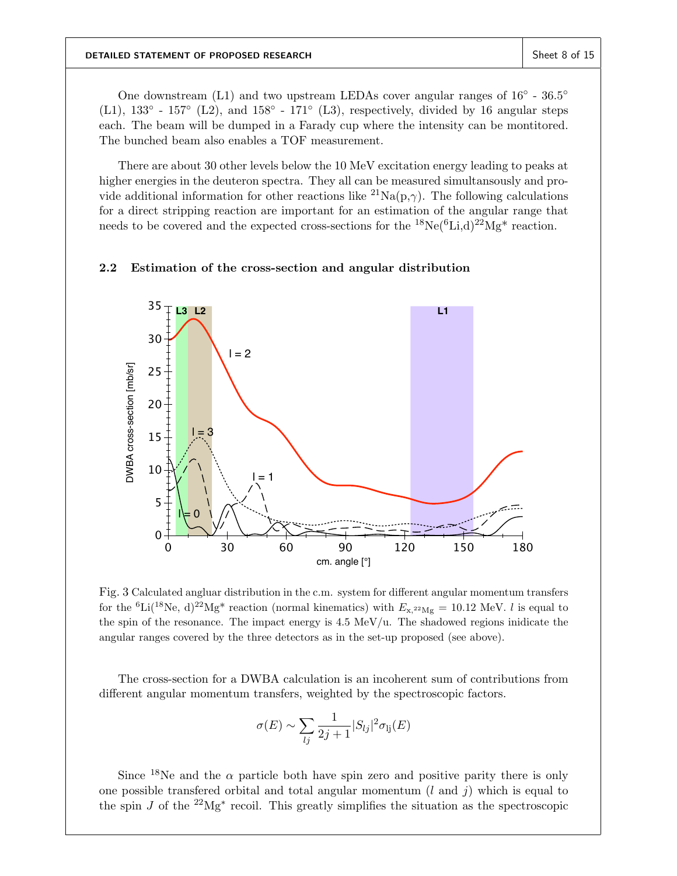One downstream (L1) and two upstream LEDAs cover angular ranges of  $16^{\circ}$  -  $36.5^{\circ}$ (L1),  $133° - 157°$  (L2), and  $158° - 171°$  (L3), respectively, divided by 16 angular steps each. The beam will be dumped in a Farady cup where the intensity can be montitored. The bunched beam also enables a TOF measurement.

There are about 30 other levels below the 10 MeV excitation energy leading to peaks at higher energies in the deuteron spectra. They all can be measured simultansously and provide additional information for other reactions like  ${}^{21}\text{Na}(p,\gamma)$ . The following calculations for a direct stripping reaction are important for an estimation of the angular range that needs to be covered and the expected cross-sections for the  $^{18}Ne(^{6}Li, d)^{22}Mg^{*}$  reaction.

## 2.2 Estimation of the cross-section and angular distribution



Fig. 3 Calculated angluar distribution in the c.m. system for different angular momentum transfers for the <sup>6</sup>Li(<sup>18</sup>Ne, d)<sup>22</sup>Mg<sup>\*</sup> reaction (normal kinematics) with  $E_{\rm x,22Mg} = 10.12$  MeV. *l* is equal to the spin of the resonance. The impact energy is 4.5 MeV/u. The shadowed regions inidicate the angular ranges covered by the three detectors as in the set-up proposed (see above).

The cross-section for a DWBA calculation is an incoherent sum of contributions from different angular momentum transfers, weighted by the spectroscopic factors.

$$
\sigma(E) \sim \sum_{lj} \frac{1}{2j+1} |S_{lj}|^2 \sigma_{lj}(E)
$$

Since <sup>18</sup>Ne and the  $\alpha$  particle both have spin zero and positive parity there is only one possible transferred orbital and total angular momentum  $(l \text{ and } j)$  which is equal to the spin J of the  $2^{2}Mg^{*}$  recoil. This greatly simplifies the situation as the spectroscopic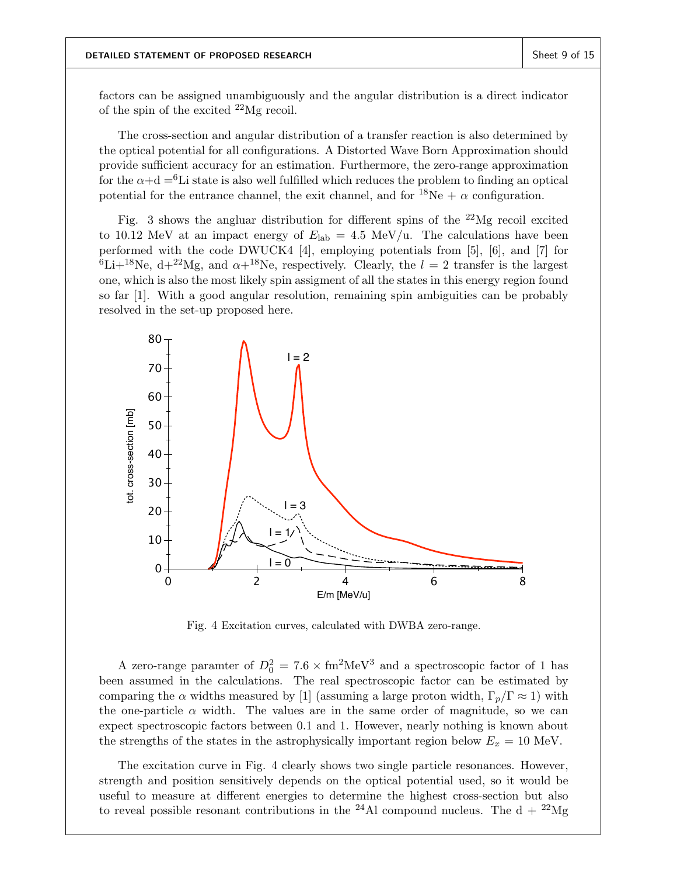factors can be assigned unambiguously and the angular distribution is a direct indicator of the spin of the excited  $^{22}Mg$  recoil.

The cross-section and angular distribution of a transfer reaction is also determined by the optical potential for all configurations. A Distorted Wave Born Approximation should provide sufficient accuracy for an estimation. Furthermore, the zero-range approximation for the  $\alpha+d = 6$ Li state is also well fulfilled which reduces the problem to finding an optical potential for the entrance channel, the exit channel, and for  $^{18}Ne + \alpha$  configuration.

Fig. 3 shows the angluar distribution for different spins of the  $^{22}Mg$  recoil excited to 10.12 MeV at an impact energy of  $E_{\rm lab} = 4.5$  MeV/u. The calculations have been performed with the code DWUCK4 [4], employing potentials from [5], [6], and [7] for  ${}^{6}$ Li+<sup>18</sup>Ne, d+<sup>22</sup>Mg, and  $\alpha$ +<sup>18</sup>Ne, respectively. Clearly, the  $l = 2$  transfer is the largest one, which is also the most likely spin assigment of all the states in this energy region found so far [1]. With a good angular resolution, remaining spin ambiguities can be probably resolved in the set-up proposed here.



Fig. 4 Excitation curves, calculated with DWBA zero-range.

A zero-range paramter of  $D_0^2 = 7.6 \times \text{fm}^2 \text{MeV}^3$  and a spectroscopic factor of 1 has been assumed in the calculations. The real spectroscopic factor can be estimated by comparing the  $\alpha$  widths measured by [1] (assuming a large proton width,  $\Gamma_p/\Gamma \approx 1$ ) with the one-particle  $\alpha$  width. The values are in the same order of magnitude, so we can expect spectroscopic factors between 0.1 and 1. However, nearly nothing is known about the strengths of the states in the astrophysically important region below  $E_x = 10$  MeV.

The excitation curve in Fig. 4 clearly shows two single particle resonances. However, strength and position sensitively depends on the optical potential used, so it would be useful to measure at different energies to determine the highest cross-section but also to reveal possible resonant contributions in the <sup>24</sup>Al compound nucleus. The  $d + {}^{22}Mg$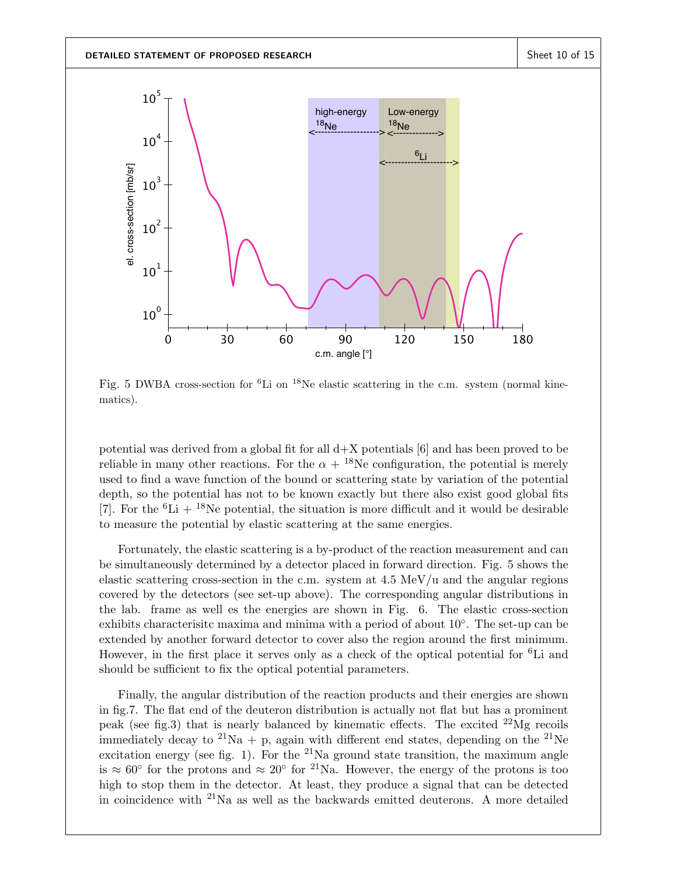

Fig. 5 DWBA cross-section for <sup>6</sup>Li on <sup>18</sup>Ne elastic scattering in the c.m. system (normal kinematics).

potential was derived from a global fit for all  $d+X$  potentials [6] and has been proved to be reliable in many other reactions. For the  $\alpha + {}^{18}Ne$  configuration, the potential is merely used to find a wave function of the bound or scattering state by variation of the potential depth, so the potential has not to be known exactly but there also exist good global fits [7]. For the  ${}^{6}Li + {}^{18}Ne$  potential, the situation is more difficult and it would be desirable to measure the potential by elastic scattering at the same energies.

Fortunately, the elastic scattering is a by-product of the reaction measurement and can be simultaneously determined by a detector placed in forward direction. Fig. 5 shows the elastic scattering cross-section in the c.m. system at  $4.5 \text{ MeV}/\text{u}$  and the angular regions covered by the detectors (see set-up above). The corresponding angular distributions in the lab. frame as well es the energies are shown in Fig. 6. The elastic cross-section exhibits characterisitc maxima and minima with a period of about 10◦ . The set-up can be extended by another forward detector to cover also the region around the first minimum. However, in the first place it serves only as a check of the optical potential for <sup>6</sup>Li and should be sufficient to fix the optical potential parameters.

Finally, the angular distribution of the reaction products and their energies are shown in fig.7. The flat end of the deuteron distribution is actually not flat but has a prominent peak (see fig.3) that is nearly balanced by kinematic effects. The excited  $^{22}Mg$  recoils immediately decay to <sup>21</sup>Na + p, again with different end states, depending on the <sup>21</sup>Ne excitation energy (see fig. 1). For the <sup>21</sup>Na ground state transition, the maximum angle is ≈ 60° for the protons and ≈ 20° for <sup>21</sup>Na. However, the energy of the protons is too high to stop them in the detector. At least, they produce a signal that can be detected in coincidence with <sup>21</sup>Na as well as the backwards emitted deuterons. A more detailed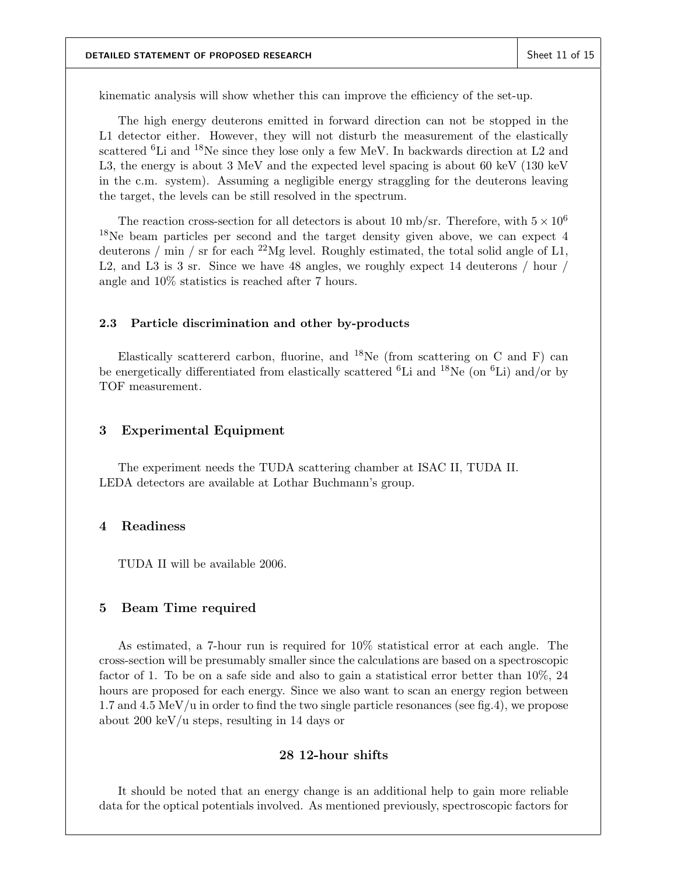kinematic analysis will show whether this can improve the efficiency of the set-up.

The high energy deuterons emitted in forward direction can not be stopped in the L1 detector either. However, they will not disturb the measurement of the elastically scattered <sup>6</sup>Li and <sup>18</sup>Ne since they lose only a few MeV. In backwards direction at L2 and L3, the energy is about 3 MeV and the expected level spacing is about 60 keV (130 keV in the c.m. system). Assuming a negligible energy straggling for the deuterons leaving the target, the levels can be still resolved in the spectrum.

The reaction cross-section for all detectors is about 10 mb/sr. Therefore, with  $5 \times 10^6$ <sup>18</sup>Ne beam particles per second and the target density given above, we can expect 4 deuterons / min / sr for each  $^{22}Mg$  level. Roughly estimated, the total solid angle of L1, L2, and L3 is 3 sr. Since we have 48 angles, we roughly expect 14 deuterons / hour / angle and 10% statistics is reached after 7 hours.

#### 2.3 Particle discrimination and other by-products

Elastically scattererd carbon, fluorine, and  $^{18}$ Ne (from scattering on C and F) can be energetically differentiated from elastically scattered  ${}^{6}$ Li and  ${}^{18}$ Ne (on  ${}^{6}$ Li) and/or by TOF measurement.

## 3 Experimental Equipment

The experiment needs the TUDA scattering chamber at ISAC II, TUDA II. LEDA detectors are available at Lothar Buchmann's group.

## 4 Readiness

TUDA II will be available 2006.

## 5 Beam Time required

As estimated, a 7-hour run is required for 10% statistical error at each angle. The cross-section will be presumably smaller since the calculations are based on a spectroscopic factor of 1. To be on a safe side and also to gain a statistical error better than 10%, 24 hours are proposed for each energy. Since we also want to scan an energy region between 1.7 and 4.5 MeV/u in order to find the two single particle resonances (see fig.4), we propose about 200 keV/u steps, resulting in 14 days or

# 28 12-hour shifts

It should be noted that an energy change is an additional help to gain more reliable data for the optical potentials involved. As mentioned previously, spectroscopic factors for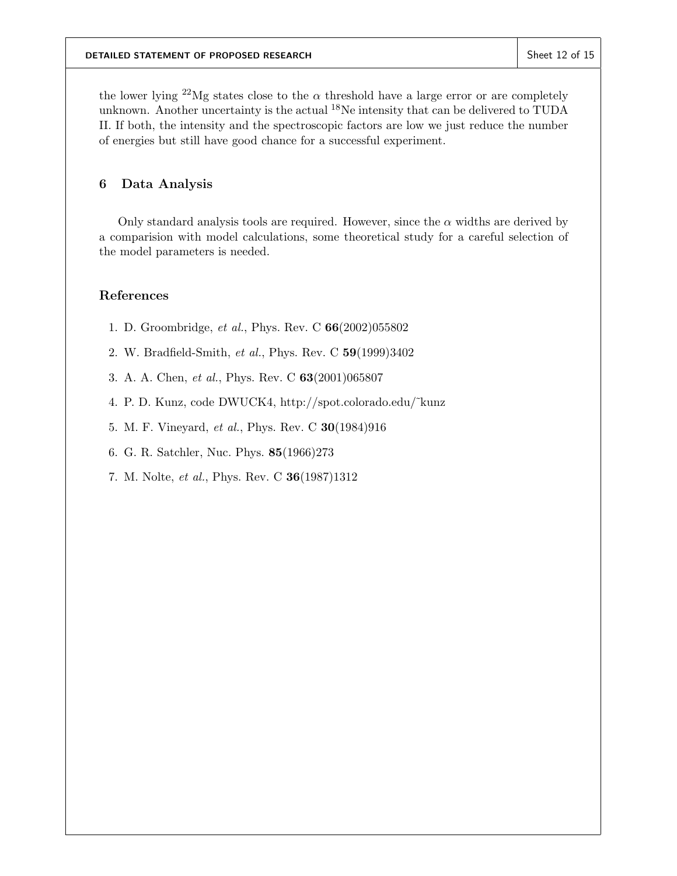the lower lying <sup>22</sup>Mg states close to the  $\alpha$  threshold have a large error or are completely unknown. Another uncertainty is the actual  $^{18}$ Ne intensity that can be delivered to TUDA II. If both, the intensity and the spectroscopic factors are low we just reduce the number of energies but still have good chance for a successful experiment.

# 6 Data Analysis

Only standard analysis tools are required. However, since the  $\alpha$  widths are derived by a comparision with model calculations, some theoretical study for a careful selection of the model parameters is needed.

# References

- 1. D. Groombridge, et al., Phys. Rev. C 66(2002)055802
- 2. W. Bradfield-Smith, et al., Phys. Rev. C 59(1999)3402
- 3. A. A. Chen, et al., Phys. Rev. C 63(2001)065807
- 4. P. D. Kunz, code DWUCK4, http://spot.colorado.edu/˜kunz
- 5. M. F. Vineyard, et al., Phys. Rev. C 30(1984)916
- 6. G. R. Satchler, Nuc. Phys. 85(1966)273
- 7. M. Nolte, et al., Phys. Rev. C 36(1987)1312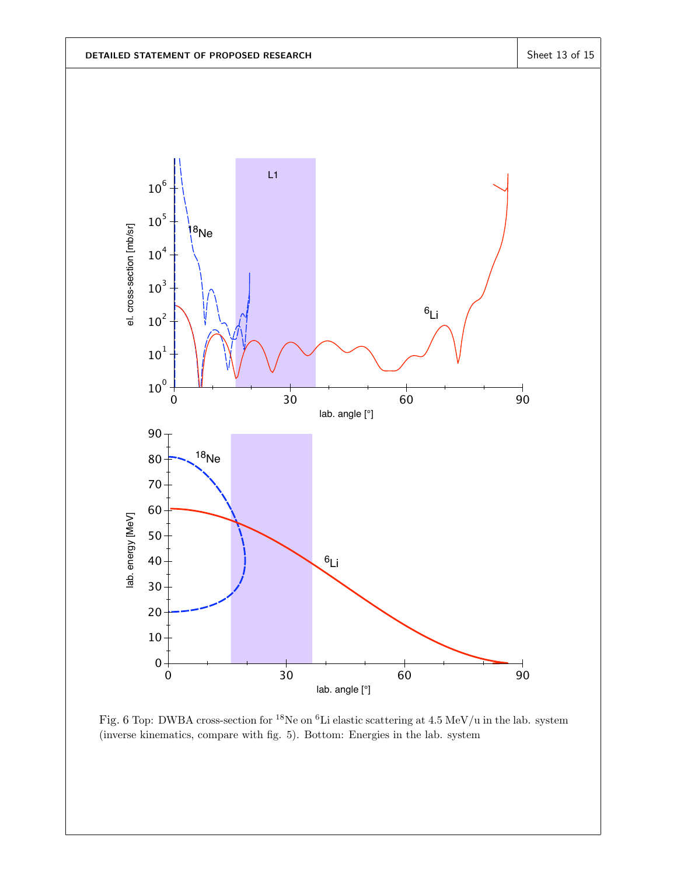

Fig. 6 Top: DWBA cross-section for <sup>18</sup>Ne on <sup>6</sup>Li elastic scattering at 4.5 MeV/u in the lab. system (inverse kinematics, compare with fig. 5). Bottom: Energies in the lab. system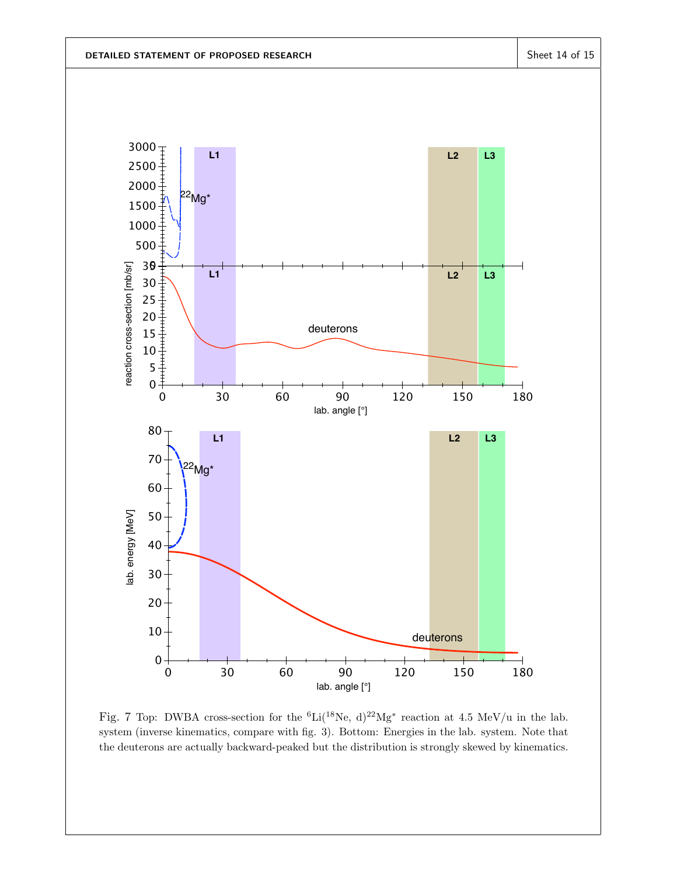

Fig. 7 Top: DWBA cross-section for the <sup>6</sup>Li(<sup>18</sup>Ne, d)<sup>22</sup>Mg<sup>\*</sup> reaction at 4.5 MeV/u in the lab. system (inverse kinematics, compare with fig. 3). Bottom: Energies in the lab. system. Note that the deuterons are actually backward-peaked but the distribution is strongly skewed by kinematics.